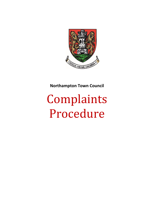

# **Northampton Town Council**

# Complaints Procedure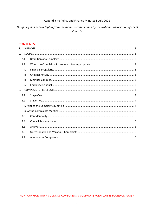# Appendix to Policy and Finance Minutes 5 July 2021

# This policy has been adapted from the model recommended by the National Association of Local Councils

# **CONTENTS:**

| 1. |      |  |  |  |
|----|------|--|--|--|
| 2. |      |  |  |  |
|    | 2.1  |  |  |  |
|    | 2.2  |  |  |  |
|    | i.   |  |  |  |
|    | ii   |  |  |  |
|    | iii. |  |  |  |
|    | iv.  |  |  |  |
| 3. |      |  |  |  |
|    | 3.1  |  |  |  |
|    | 3.2  |  |  |  |
|    |      |  |  |  |
|    |      |  |  |  |
|    | 3.3  |  |  |  |
|    | 3.4  |  |  |  |
|    | 3.5  |  |  |  |
|    | 3.6  |  |  |  |
|    | 3.7  |  |  |  |

NORTHAMPTON TOWN COUNCIL'S COMPLAINTS & COMMENTS FORM CAN BE FOUND ON PAGE 7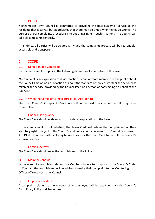# <span id="page-2-0"></span>1. PURPOSE

Northampton Town Council is committed to providing the best quality of service to the residents that it serves, but appreciates that there may be times when things go wrong. The purpose of our complaints procedure is to put things right in such situations. The Council will take all complaints seriously.

At all times, all parties will be treated fairly and the complaints process will be reasonable, accessible and transparent.

# <span id="page-2-1"></span>2. SCOPE

# <span id="page-2-2"></span>2.1 Definition of a Complaint

For the purpose of this policy, the following definition of a complaint will be used:

"A complaint is an expression of dissatisfaction by one or more members of the public about the Council's action or lack of action or about the standard of service, whether the action was taken or the service provided by the Council itself or a person or body acting on behalf of the Council."

# <span id="page-2-3"></span>2.2 When the Complaints Procedure is Not Appropriate

The Town Council's Complaints Procedure will not be used in respect of the following types of complaint:

#### <span id="page-2-4"></span>i. Financial Irregularity

The Town Clerk should endeavour to provide an explanation of the item.

If the complainant is not satisfied, the Town Clerk will advise the complainant of their statutory right to object to the Council's audit of accounts pursuant to S16 Audit Commission Act 1998. On other matters, it may be necessary for the Town Clerk to consult the Council's external auditor.

#### <span id="page-2-5"></span>ii Criminal Activity

The Town Clerk should refer the complainant to the Police.

#### <span id="page-2-6"></span>iii. Member Conduct

In the event of a complaint relating to a Member's failure to comply with the Council's Code of Conduct, the complainant will be advised to make their complaint to the Monitoring Officer of West Northants Council.

#### <span id="page-2-7"></span>iv. Employee Conduct

A complaint relating to the conduct of an employee will be dealt with via the Council's Disciplinary Policy and Procedure.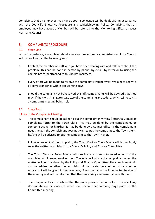Complaints that an employee may have about a colleague will be dealt with in accordance with the Council's Grievance Procedure and Whistleblowing Policy. Complaints that an employee may have about a Member will be referred to the Monitoring Officer of West Northants Council.

# <span id="page-3-0"></span>3. COMPLAINTS PROCEDURE

# <span id="page-3-1"></span>3.1 Stage One

In the first instance, a complaint about a service, procedure or administration of the Council will be dealt with in the following way:

- a. Contact the member of staff who you have been dealing with and tell them about the problem. This can be done in person by phone, by email, by letter or by using the complaints form attached to this policy document.
- b. Every effort will be made to resolve the complaint straight away. We aim to reply to all correspondence within ten working days.
- c. Should the complaint not be resolved by staff, complainants will be advised that they may, if they wish, instigate stage two of the complaints procedure, which will result in a complaints meeting being held.

# <span id="page-3-2"></span>3.2 Stage Two

# <span id="page-3-3"></span>i. Prior to the Complaints Meeting

- a. The complainant should be asked to put the complaint in writing (letter, fax, email or complaints form) to the Town Clerk. This may be done by the complainant, or someone acting for him/her; it may be done by a Council officer if the complainant needs help. If the complainant does not wish to put the complaint to the Town Clerk, he/she will be advised to put the complaint to the Town Mayor.
- b. Following receipt of the complaint, the Town Clerk or Town Mayor will immediately refer the written complaint to the Council's Policy and Finance Committee.
- c. The Town Clerk or Town Mayor will provide a written acknowledgement of the complaint within seven working days. The letter will advise the complainant when the matter will be considered by the Policy and Finance Committee. The complainant will also be advised whether the complaint will be treated as confidential or whether notice of it will be given in the usual way. The complainant will be invited to attend the meeting and will be informed that they may bring a representative with them.
- d. The complainant will be notified that they must provide the Council with copies of any documentation or evidence relied on, seven clear working days prior to the Committee meeting.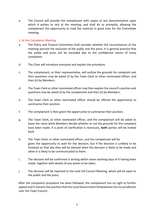e. The Council will provide the complainant with copies of any documentation upon which it wishes to rely at the meeting, and shall do so promptly, allowing the complainant the opportunity to read the material in good time for the Committee meeting.

# <span id="page-4-0"></span>ii. At the Complaints Meeting

- a. The Policy and Finance Committee shall consider whether the circumstances of the meeting warrant the exclusion of the public and the press. It is general practice that the public and press will be excluded due to the confidential nature of many complaints.
- b. The Chair will introduce everyone and explain the procedure.
- c. The complainant, or their representative, will outline the grounds for complaint and then questions may be asked (i) by the Town Clerk or other nominated officer, and then (ii) by Members.
- d. The Town Clerk or other nominated officer may then explain the council's position and questions may be asked (i) by the complainant and then (ii) by Members.
- e. The Town Clerk or other nominated officer should be offered the opportunity to summarise their position.
- f. The complainant is then given the opportunity to summarise their position.
- g. The Town Clerk, or other nominated officer, and the complainant will be asked to leave the room while Members decide whether or not the grounds for the complaint have been made. If a point of clarification is necessary, **both** parties will be invited back.
- h. The Town Clerk, or other nominated officer, and the complainant will be given the opportunity to wait for the decision, but if the decision is unlikely to be finalised on that day they will be advised when the decision is likely to be made and when it is likely to be communicated to them.
- i. The decision will be confirmed in writing within seven working days of it having been made, together with details of any action to be taken.
- j. The decision will be reported to the next full Council Meeting, which will be open to the public and the press.

After the complaints procedure has been followed, the complainant has no right to further appeal and it remains the position that the Local Government Ombudsman has no jurisdiction over the Town Council.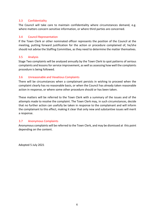# <span id="page-5-0"></span>3.3 Confidentiality

The Council will take care to maintain confidentiality where circumstances demand, e.g. where matters concern sensitive information, or where third parties are concerned.

# <span id="page-5-1"></span>3.4 Council Representation

If the Town Clerk or other nominated officer represents the position of the Council at the meeting, putting forward justification for the action or procedure complained of, he/she should not advise the Staffing Committee, as they need to determine the matter themselves.

# <span id="page-5-2"></span>3.5 Analysis

Stage Two complaints will be analysed annually by the Town Clerk to spot patterns of serious complaints and lessons for service improvement, as well as assessing how well the complaints procedure is being followed.

# <span id="page-5-3"></span>3.6 Unreasonable and Vexatious Complaints

There will be circumstances when a complainant persists in wishing to proceed when the complaint clearly has no reasonable basis, or when the Council has already taken reasonable action in response, or where some other procedure should or has been taken.

These matters will be referred to the Town Clerk with a summary of the issues and of the attempts made to resolve the complaint. The Town Clerk may, in such circumstances, decide that no further action can usefully be taken in response to the complainant and will inform the complainant to this effect, making it clear that only new and substantive issues will merit a response.

# <span id="page-5-4"></span>3.7 Anonymous Complaints

Anonymous complaints will be referred to the Town Clerk, and may be dismissed at this point depending on the content.

Adopted 5 July 2021